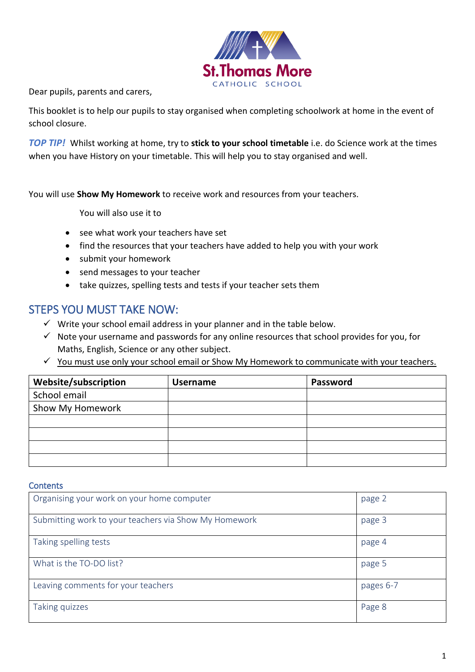

Dear pupils, parents and carers,

This booklet is to help our pupils to stay organised when completing schoolwork at home in the event of school closure.

*TOP TIP!* Whilst working at home, try to **stick to your school timetable** i.e. do Science work at the times when you have History on your timetable. This will help you to stay organised and well.

You will use **Show My Homework** to receive work and resources from your teachers.

You will also use it to

- see what work your teachers have set
- find the resources that your teachers have added to help you with your work
- submit your homework
- send messages to your teacher
- take quizzes, spelling tests and tests if your teacher sets them

## STEPS YOU MUST TAKE NOW:

- $\checkmark$  Write your school email address in your planner and in the table below.
- $\checkmark$  Note your username and passwords for any online resources that school provides for you, for Maths, English, Science or any other subject.
- ✓ You must use only your school email or Show My Homework to communicate with your teachers.

| Website/subscription | <b>Username</b> | Password |
|----------------------|-----------------|----------|
| School email         |                 |          |
| Show My Homework     |                 |          |
|                      |                 |          |
|                      |                 |          |
|                      |                 |          |
|                      |                 |          |

### **Contents**

| Organising your work on your home computer            | page 2    |
|-------------------------------------------------------|-----------|
| Submitting work to your teachers via Show My Homework | page 3    |
| Taking spelling tests                                 | page 4    |
| What is the TO-DO list?                               | page 5    |
| Leaving comments for your teachers                    | pages 6-7 |
| Taking quizzes                                        | Page 8    |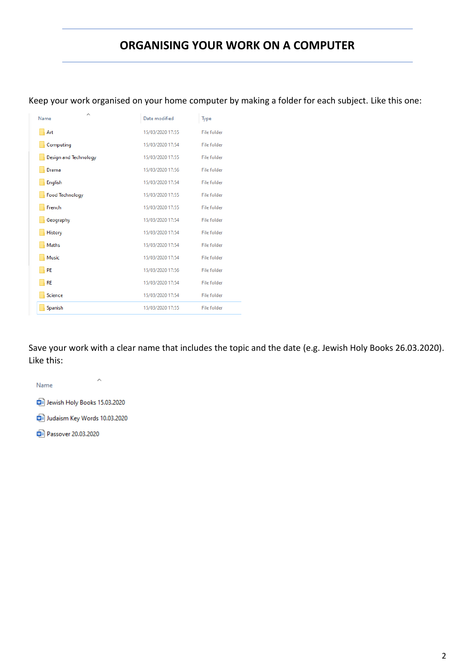## **ORGANISING YOUR WORK ON A COMPUTER**

Keep your work organised on your home computer by making a folder for each subject. Like this one:

| ∧<br>Name              | Date modified    | Type               |
|------------------------|------------------|--------------------|
| Art                    | 15/03/2020 17:55 | File folder        |
| Computing              | 15/03/2020 17:54 | <b>File folder</b> |
| Design and Technology  | 15/03/2020 17:55 | <b>File folder</b> |
| Drama                  | 15/03/2020 17:56 | <b>File folder</b> |
| English                | 15/03/2020 17:54 | <b>File folder</b> |
| <b>Food Technology</b> | 15/03/2020 17:55 | File folder        |
| French                 | 15/03/2020 17:55 | File folder        |
| Geography              | 15/03/2020 17:54 | <b>File folder</b> |
| History                | 15/03/2020 17:54 | <b>File folder</b> |
| <b>Maths</b>           | 15/03/2020 17:54 | <b>File folder</b> |
| Music                  | 15/03/2020 17:54 | <b>File folder</b> |
| PE                     | 15/03/2020 17:56 | File folder        |
| <b>RE</b>              | 15/03/2020 17:54 | File folder        |
| Science                | 15/03/2020 17:54 | File folder        |
| Spanish                | 15/03/2020 17:55 | File folder        |

Save your work with a clear name that includes the topic and the date (e.g. Jewish Holy Books 26.03.2020). Like this:

 $\land$ Name Jewish Holy Books 15.03.2020

Judaism Key Words 10.03.2020

Passover 20.03.2020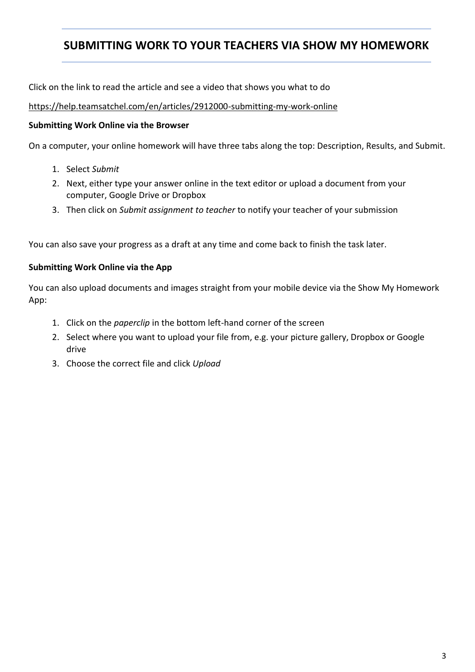## **SUBMITTING WORK TO YOUR TEACHERS VIA SHOW MY HOMEWORK**

Click on the link to read the article and see a video that shows you what to do

<https://help.teamsatchel.com/en/articles/2912000-submitting-my-work-online>

## **Submitting Work Online via the Browser**

On a computer, your online homework will have three tabs along the top: Description, Results, and Submit.

- 1. Select *Submit*
- 2. Next, either type your answer online in the text editor or upload a document from your computer, Google Drive or Dropbox
- 3. Then click on *Submit assignment to teacher* to notify your teacher of your submission

You can also save your progress as a draft at any time and come back to finish the task later.

## **Submitting Work Online via the App**

You can also upload documents and images straight from your mobile device via the Show My Homework App:

- 1. Click on the *paperclip* in the bottom left-hand corner of the screen
- 2. Select where you want to upload your file from, e.g. your picture gallery, Dropbox or Google drive
- 3. Choose the correct file and click *Upload*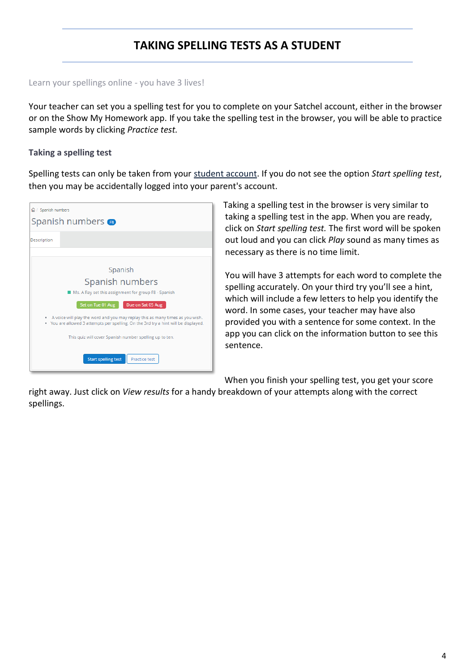# **TAKING SPELLING TESTS AS A STUDENT**

### Learn your spellings online - you have 3 lives!

Your teacher can set you a spelling test for you to complete on your Satchel account, either in the browser or on the Show My Homework app. If you take the spelling test in the browser, you will be able to practice sample words by clicking *Practice test.*

## **Taking a spelling test**

Spelling tests can only be taken from your [student account.](http://help.teamsatchel.com/en/articles/2911888-logging-in-as-a-student) If you do not see the option *Start spelling test*, then you may be accidentally logged into your parent's account.

| <b>△/ Spanish numbers</b>                                                                                                                                               |  |  |
|-------------------------------------------------------------------------------------------------------------------------------------------------------------------------|--|--|
| Spanish numbers B                                                                                                                                                       |  |  |
| Description                                                                                                                                                             |  |  |
|                                                                                                                                                                         |  |  |
| Spanish                                                                                                                                                                 |  |  |
| Spanish numbers                                                                                                                                                         |  |  |
| Ms. A Ray set this assignment for group F8 - Spanish                                                                                                                    |  |  |
| Due on Sat 05 Aug<br>Set on Tue 01 Aug                                                                                                                                  |  |  |
| A voice will play the word and you may replay this as many times as you wish.<br>You are allowed 3 attempts per spelling. On the 3rd try a hint will be displayed.<br>۰ |  |  |
| This quiz will cover Spanish number spelling up to ten.                                                                                                                 |  |  |
| <b>Start spelling test</b><br><b>Practice test</b>                                                                                                                      |  |  |

Taking a spelling test in the browser is very similar to taking a spelling test in the app. When you are ready, click on *Start spelling test.* The first word will be spoken out loud and you can click *Play* sound as many times as necessary as there is no time limit.

You will have 3 attempts for each word to complete the spelling accurately. On your third try you'll see a hint, which will include a few letters to help you identify the word. In some cases, your teacher may have also provided you with a sentence for some context. In the app you can click on the information button to see this sentence.

When you finish your spelling test, you get your score

right away. Just click on *View results* for a handy breakdown of your attempts along with the correct spellings.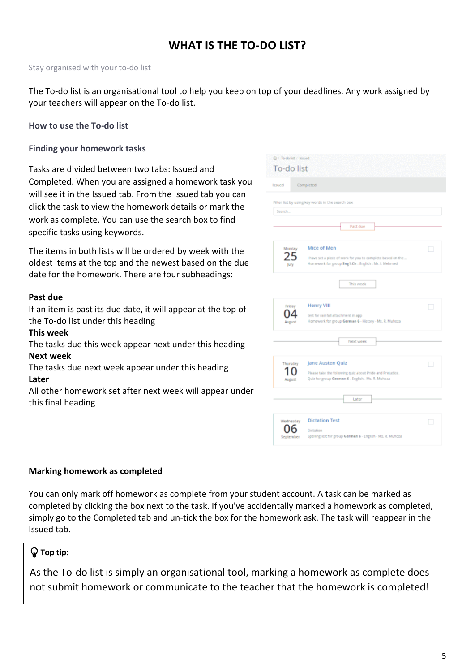# **WHAT IS THE TO-DO LIST?**

#### Stay organised with your to-do list

The To-do list is an organisational tool to help you keep on top of your deadlines. Any work assigned by your teachers will appear on the To-do list.

**How to use the To-do list**

**Finding your homework tasks**

Tasks are divided between two tabs: Issued and Completed. When you are assigned a homework task you will see it in the Issued tab. From the Issued tab you can click the task to view the homework details or mark the work as complete. You can use the search box to find specific tasks using keywords.

The items in both lists will be ordered by week with the oldest items at the top and the newest based on the due date for the homework. There are four subheadings:

#### **Past due**

If an item is past its due date, it will appear at the top of the To-do list under this heading

#### **This week**

The tasks due this week appear next under this heading **Next week**

The tasks due next week appear under this heading **Later**

All other homework set after next week will appear under this final heading

| Q / To-do list / Issued |                                                                                                                                    |   |
|-------------------------|------------------------------------------------------------------------------------------------------------------------------------|---|
| To-do list              |                                                                                                                                    |   |
| <b>Issued</b>           | Completed                                                                                                                          |   |
| Search                  | Filter list by using key words in the search box<br>Past due                                                                       |   |
| Monday<br>July          | Mice of Men<br>I have set a piece of work for you to complete based on the<br>Homework for group Eng1-Ch - English - Mr. I. Mehmed | П |
|                         | This week                                                                                                                          |   |
| Friday<br>August        | Henry VIII<br>best for rainfall attachment in app.<br>Homework for group German 6 - History - Ms. R. Muhoza                        |   |
|                         | Next week                                                                                                                          |   |
| Thursday<br>August      | Jane Austen Quiz<br>Please take the following quiz about Pride and Prejudice.<br>Quiz for group German 6 - English - Ms. R. Muhoza |   |
|                         | Later                                                                                                                              |   |
| Wednesday<br>September  | <b>Dictation Test</b><br>Dictation<br>SpellingTest for group German 6 - English - Ms. R. Muhoza                                    | П |

#### **Marking homework as completed**

You can only mark off homework as complete from your student account. A task can be marked as completed by clicking the box next to the task. If you've accidentally marked a homework as completed, simply go to the Completed tab and un-tick the box for the homework ask. The task will reappear in the Issued tab.

## **Top tip:**

As the To-do list is simply an organisational tool, marking a homework as complete does not submit homework or communicate to the teacher that the homework is completed!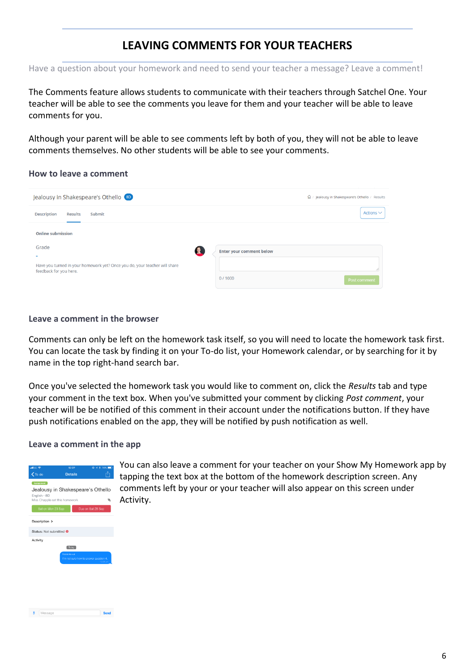## **LEAVING COMMENTS FOR YOUR TEACHERS**

Have a question about your homework and need to send your teacher a message? Leave a comment!

The Comments feature allows students to communicate with their teachers through Satchel One. Your teacher will be able to see the comments you leave for them and your teacher will be able to leave comments for you.

Although your parent will be able to see comments left by both of you, they will not be able to leave comments themselves. No other students will be able to see your comments.

#### **How to leave a comment**

| Jealousy in Shakespeare's Othello (8D)                                                               | d / Jealousy in Shakespeare's Othello / Results |
|------------------------------------------------------------------------------------------------------|-------------------------------------------------|
| <b>Description</b><br>Submit<br><b>Results</b>                                                       | Actions $\vee$                                  |
| <b>Online submission</b><br>Grade<br>$\overline{\phantom{a}}$                                        | <b>Enter your comment below</b>                 |
| Have you turned in your homework yet? Once you do, your teacher will share<br>feedback for you here. | 0/1000<br>Post comment                          |

**Leave a comment in the browser**

Comments can only be left on the homework task itself, so you will need to locate the homework task first. You can locate the task by finding it on your To-do list, your Homework calendar, or by searching for it by name in the top right-hand search bar.

Once you've selected the homework task you would like to comment on, click the *Results* tab and type your comment in the text box. When you've submitted your comment by clicking *Post comment*, your teacher will be be notified of this comment in their account under the notifications button. If they have push notifications enabled on the app, they will be notified by push notification as well.

### **Leave a comment in the app**

| all EE 全<br>$\zeta$ To do                                           | 12:27<br><b>Details</b>                                         | * 76%<br>ര             |
|---------------------------------------------------------------------|-----------------------------------------------------------------|------------------------|
| Assignment                                                          | Jealousy in Shakespeare's Othello                               |                        |
| English - 8D<br>Miss Chapple set this homework<br>Set on Mon 23 Sep |                                                                 | ◈<br>Due on Sat 28 Sep |
| Description >                                                       |                                                                 |                        |
| Status: Not submitted <sup>@</sup>                                  |                                                                 |                        |
| Activity                                                            | Today                                                           |                        |
|                                                                     | <b>Fridrik Horvat</b><br>I'm not sure how to answer question 4. | $12.26 \text{ cm}$     |
|                                                                     |                                                                 |                        |
|                                                                     |                                                                 |                        |

Send

 $\bigcirc$  Message

You can also leave a comment for your teacher on your Show My Homework app by tapping the text box at the bottom of the homework description screen. Any comments left by your or your teacher will also appear on this screen under Activity.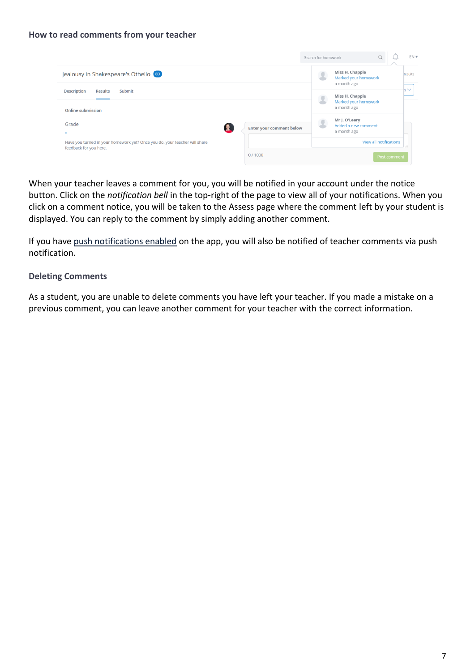### **How to read comments from your teacher**

|                                                                                                      |                                 | Search for homework |                                                        |              | EN <sub>1</sub> |
|------------------------------------------------------------------------------------------------------|---------------------------------|---------------------|--------------------------------------------------------|--------------|-----------------|
| Jealousy in Shakespeare's Othello (8D)                                                               |                                 |                     | Miss H. Chapple<br>Marked your homework<br>a month ago |              | <b>Results</b>  |
| <b>Description</b><br>Submit<br><b>Results</b><br><b>Online submission</b>                           |                                 |                     | Miss H. Chapple<br>Marked your homework<br>a month ago |              | $s \vee$        |
| Grade<br>$\overline{\phantom{0}}$                                                                    | <b>Enter your comment below</b> |                     | Mr J. O'Leary<br>Added a new comment<br>a month ago    |              |                 |
| Have you turned in your homework yet? Once you do, your teacher will share<br>feedback for you here. |                                 |                     | View all notifications                                 |              |                 |
|                                                                                                      | 0/1000                          |                     |                                                        | Post comment |                 |

When your teacher leaves a comment for you, you will be notified in your account under the notice button. Click on the *notification bell* in the top-right of the page to view all of your notifications. When you click on a comment notice, you will be taken to the Assess page where the comment left by your student is displayed. You can reply to the comment by simply adding another comment.

If you have [push notifications enabled](http://help.teamsatchel.com/en/articles/2911879-managing-email-and-push-notifications) on the app, you will also be notified of teacher comments via push notification.

### **Deleting Comments**

As a student, you are unable to delete comments you have left your teacher. If you made a mistake on a previous comment, you can leave another comment for your teacher with the correct information.